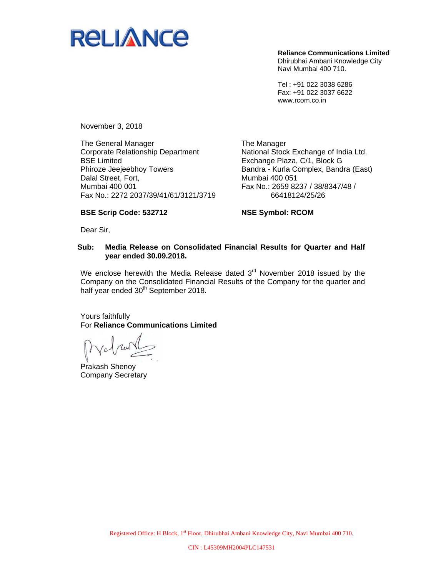

**Reliance Communications Limited**  Dhirubhai Ambani Knowledge City Navi Mumbai 400 710.

Tel : +91 022 3038 6286 Fax: +91 022 3037 6622 www.rcom.co.in

November 3, 2018

The General Manager Corporate Relationship Department BSE Limited Phiroze Jeejeebhoy Towers Dalal Street, Fort, Mumbai 400 001 Fax No.: 2272 2037/39/41/61/3121/3719

The Manager National Stock Exchange of India Ltd. Exchange Plaza, C/1, Block G Bandra - Kurla Complex, Bandra (East) Mumbai 400 051 Fax No.: 2659 8237 / 38/8347/48 / 66418124/25/26

#### **BSE Scrip Code: 532712**

**NSE Symbol: RCOM** 

Dear Sir,

#### **Sub: Media Release on Consolidated Financial Results for Quarter and Half year ended 30.09.2018.**

We enclose herewith the Media Release dated  $3<sup>rd</sup>$  November 2018 issued by the Company on the Consolidated Financial Results of the Company for the quarter and half year ended 30<sup>th</sup> September 2018.

Yours faithfully For **Reliance Communications Limited** 

Prakash Shenoy Company Secretary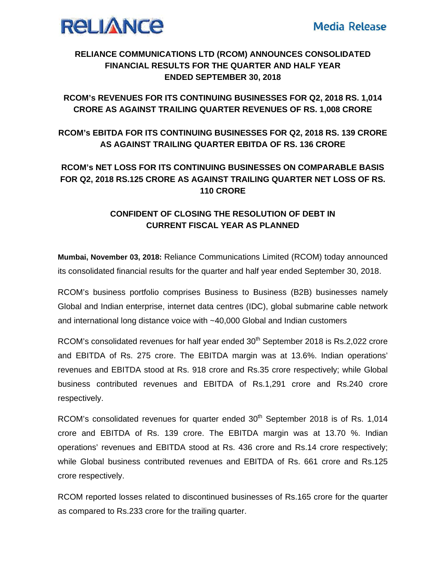

### **RELIANCE COMMUNICATIONS LTD (RCOM) ANNOUNCES CONSOLIDATED FINANCIAL RESULTS FOR THE QUARTER AND HALF YEAR ENDED SEPTEMBER 30, 2018**

## RCOM's REVENUES FOR ITS CONTINUING BUSINESSES FOR Q2, 2018 RS. 1,014 **CRORE AS AGAINST TRAILING QUARTER REVENUES OF RS. 1,008 CRORE**

# **RCOM's EBITDA FOR ITS CONTINUING BUSINESSES FOR Q2, 2018 RS. 139 CRORE** AS AGAINST TRAILING QUARTER EBITDA OF RS. 136 CRORE

# **RCOM's NET LOSS FOR ITS CONTINUING BUSINESSES ON COMPARABLE BASIS** FOR Q2, 2018 RS.125 CRORE AS AGAINST TRAILING QUARTER NET LOSS OF RS. **110 CRORE**

# CONFIDENT OF CLOSING THE RESOLUTION OF DEBT IN **CURRENT FISCAL YEAR AS PLANNED**

Mumbai, November 03, 2018: Reliance Communications Limited (RCOM) today announced its consolidated financial results for the quarter and half year ended September 30, 2018.

RCOM's business portfolio comprises Business to Business (B2B) businesses namely Global and Indian enterprise, internet data centres (IDC), global submarine cable network and international long distance voice with ~40,000 Global and Indian customers

RCOM's consolidated revenues for half year ended 30<sup>th</sup> September 2018 is Rs.2,022 crore and EBITDA of Rs. 275 crore. The EBITDA margin was at 13.6%. Indian operations' revenues and EBITDA stood at Rs. 918 crore and Rs.35 crore respectively; while Global business contributed revenues and EBITDA of Rs.1,291 crore and Rs.240 crore respectively.

RCOM's consolidated revenues for quarter ended 30<sup>th</sup> September 2018 is of Rs. 1,014 crore and EBITDA of Rs. 139 crore. The EBITDA margin was at 13.70 %. Indian operations' revenues and EBITDA stood at Rs. 436 crore and Rs.14 crore respectively; while Global business contributed revenues and EBITDA of Rs. 661 crore and Rs.125 crore respectively.

RCOM reported losses related to discontinued businesses of Rs.165 crore for the quarter as compared to Rs.233 crore for the trailing quarter.